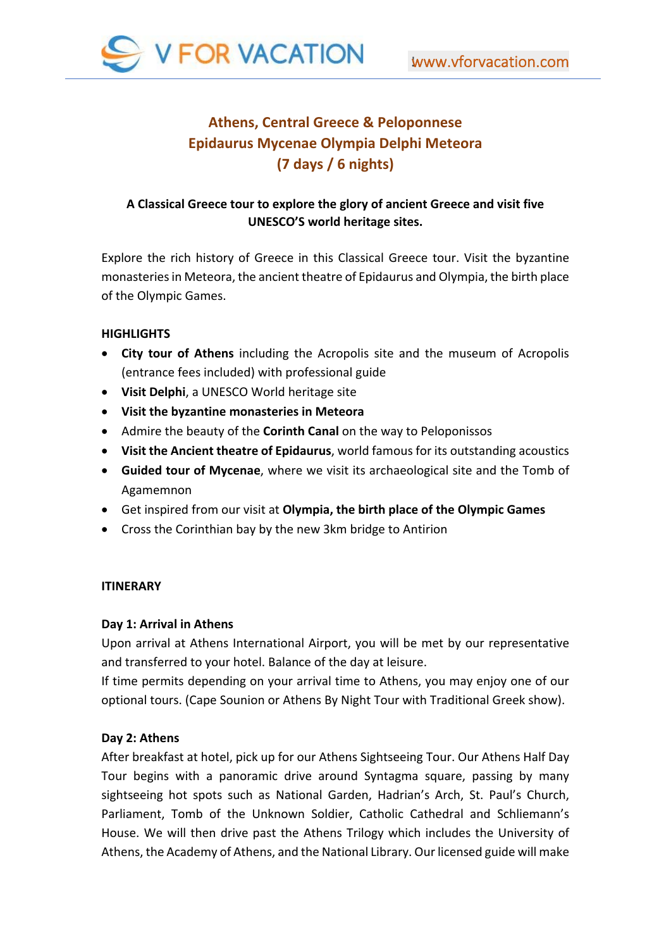

# **Athens, Central Greece & Peloponnese Epidaurus Mycenae Olympia Delphi Meteora (7 days / 6 nights)**

# **A Classical Greece tour to explore the glory of ancient Greece and visit five UNESCO'S world heritage sites.**

Explore the rich history of Greece in this Classical Greece tour. Visit the byzantine monasteries in Meteora, the ancient theatre of Epidaurus and Olympia, the birth place of the Olympic Games.

## **HIGHLIGHTS**

- **City tour of Athens** including the Acropolis site and the museum of Acropolis (entrance fees included) with professional guide
- **Visit Delphi**, a UNESCO World heritage site
- **Visit the byzantine monasteries in Meteora**
- Admire the beauty of the **Corinth Canal** on the way to Peloponissos
- **Visit the Ancient theatre of Epidaurus**, world famous for its outstanding acoustics
- **Guided tour of Mycenae**, where we visit its archaeological site and the Tomb of Agamemnon
- Get inspired from our visit at **Olympia, the birth place of the Olympic Games**
- Cross the Corinthian bay by the new 3km bridge to Antirion

## **ITINERARY**

## **Day 1: Arrival in Athens**

Upon arrival at Athens International Airport, you will be met by our representative and transferred to your hotel. Balance of the day at leisure.

If time permits depending on your arrival time to Athens, you may enjoy one of our optional tours. (Cape Sounion or Athens By Night Tour with Traditional Greek show).

## **Day 2: Athens**

After breakfast at hotel, pick up for our Athens Sightseeing Tour. Our Athens Half Day Tour begins with a panoramic drive around Syntagma square, passing by many sightseeing hot spots such as National Garden, Hadrian's Arch, St. Paul's Church, Parliament, Tomb of the Unknown Soldier, Catholic Cathedral and Schliemann's House. We will then drive past the Athens Trilogy which includes the University of Athens, the Academy of Athens, and the National Library. Our licensed guide will make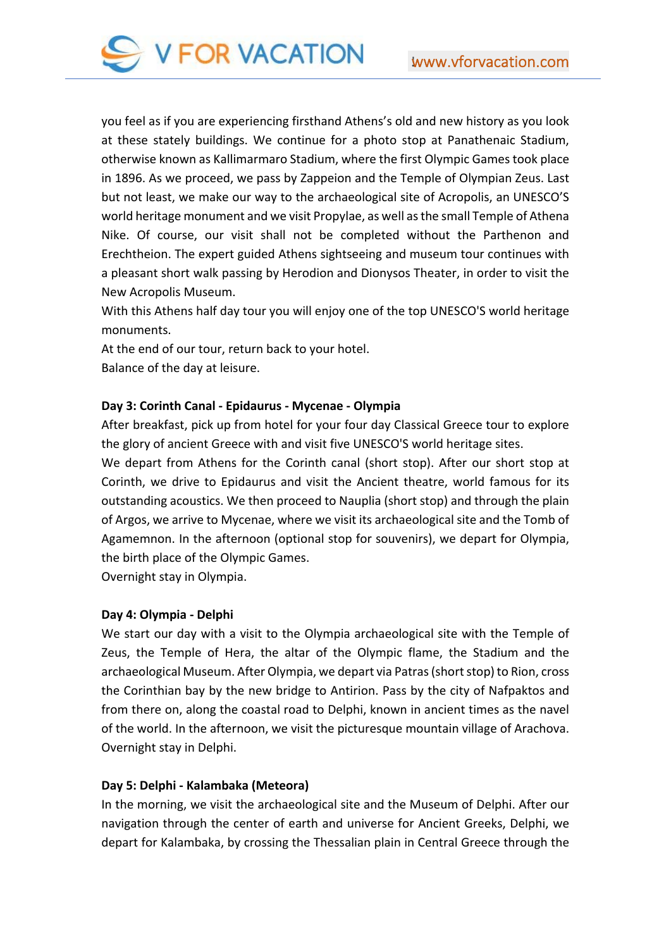

you feel as if you are experiencing firsthand Athens's old and new history as you look at these stately buildings. We continue for a photo stop at Panathenaic Stadium, otherwise known as Kallimarmaro Stadium, where the first Olympic Games took place in 1896. As we proceed, we pass by Zappeion and the Temple of Olympian Zeus. Last but not least, we make our way to the archaeological site of Acropolis, an UNESCO'S world heritage monument and we visit Propylae, as well as the small Temple of Athena Nike. Of course, our visit shall not be completed without the Parthenon and Erechtheion. The expert guided Athens sightseeing and museum tour continues with a pleasant short walk passing by Herodion and Dionysos Theater, in order to visit the New Acropolis Museum.

With this Athens half day tour you will enjoy one of the top UNESCO'S world heritage monuments.

At the end of our tour, return back to your hotel. Balance of the day at leisure.

#### **Day 3: Corinth Canal ‐ Epidaurus ‐ Mycenae ‐ Olympia**

After breakfast, pick up from hotel for your four day Classical Greece tour to explore the glory of ancient Greece with and visit five UNESCO'S world heritage sites.

We depart from Athens for the Corinth canal (short stop). After our short stop at Corinth, we drive to Epidaurus and visit the Ancient theatre, world famous for its outstanding acoustics. We then proceed to Nauplia (short stop) and through the plain of Argos, we arrive to Mycenae, where we visit its archaeological site and the Tomb of Agamemnon. In the afternoon (optional stop for souvenirs), we depart for Olympia, the birth place of the Olympic Games.

Overnight stay in Olympia.

#### **Day 4: Olympia ‐ Delphi**

We start our day with a visit to the Olympia archaeological site with the Temple of Zeus, the Temple of Hera, the altar of the Olympic flame, the Stadium and the archaeological Museum. After Olympia, we depart via Patras (short stop) to Rion, cross the Corinthian bay by the new bridge to Antirion. Pass by the city of Nafpaktos and from there on, along the coastal road to Delphi, known in ancient times as the navel of the world. In the afternoon, we visit the picturesque mountain village of Arachova. Overnight stay in Delphi.

## **Day 5: Delphi ‐ Kalambaka (Meteora)**

In the morning, we visit the archaeological site and the Museum of Delphi. After our navigation through the center of earth and universe for Ancient Greeks, Delphi, we depart for Kalambaka, by crossing the Thessalian plain in Central Greece through the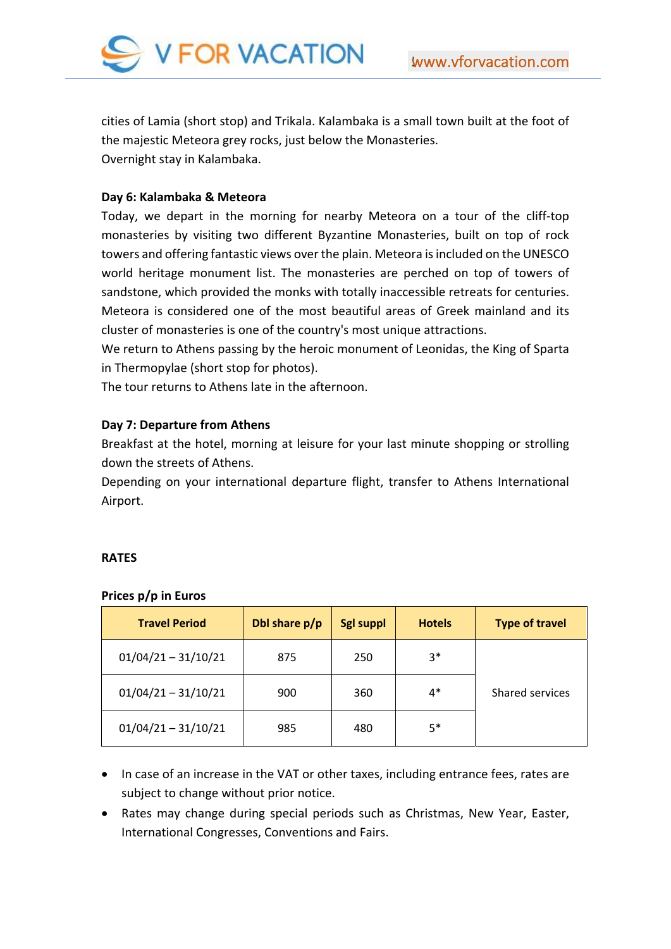

cities of Lamia (short stop) and Trikala. Kalambaka is a small town built at the foot of the majestic Meteora grey rocks, just below the Monasteries. Overnight stay in Kalambaka.

## **Day 6: Kalambaka & Meteora**

Today, we depart in the morning for nearby Meteora on a tour of the cliff‐top monasteries by visiting two different Byzantine Monasteries, built on top of rock towers and offering fantastic views over the plain. Meteora is included on the UNESCO world heritage monument list. The monasteries are perched on top of towers of sandstone, which provided the monks with totally inaccessible retreats for centuries. Meteora is considered one of the most beautiful areas of Greek mainland and its cluster of monasteries is one of the country's most unique attractions.

We return to Athens passing by the heroic monument of Leonidas, the King of Sparta in Thermopylae (short stop for photos).

The tour returns to Athens late in the afternoon.

#### **Day 7: Departure from Athens**

Breakfast at the hotel, morning at leisure for your last minute shopping or strolling down the streets of Athens.

Depending on your international departure flight, transfer to Athens International Airport.

#### **RATES**

| <b>Travel Period</b>  | Dbl share p/p | <b>Sgl suppl</b> | <b>Hotels</b> | <b>Type of travel</b> |
|-----------------------|---------------|------------------|---------------|-----------------------|
| $01/04/21 - 31/10/21$ | 875           | 250              | $3*$          |                       |
| $01/04/21 - 31/10/21$ | 900           | 360              | $4*$          | Shared services       |
| $01/04/21 - 31/10/21$ | 985           | 480              | $5*$          |                       |

#### **Prices p/p in Euros**

- In case of an increase in the VAT or other taxes, including entrance fees, rates are subject to change without prior notice.
- Rates may change during special periods such as Christmas, New Year, Easter, International Congresses, Conventions and Fairs.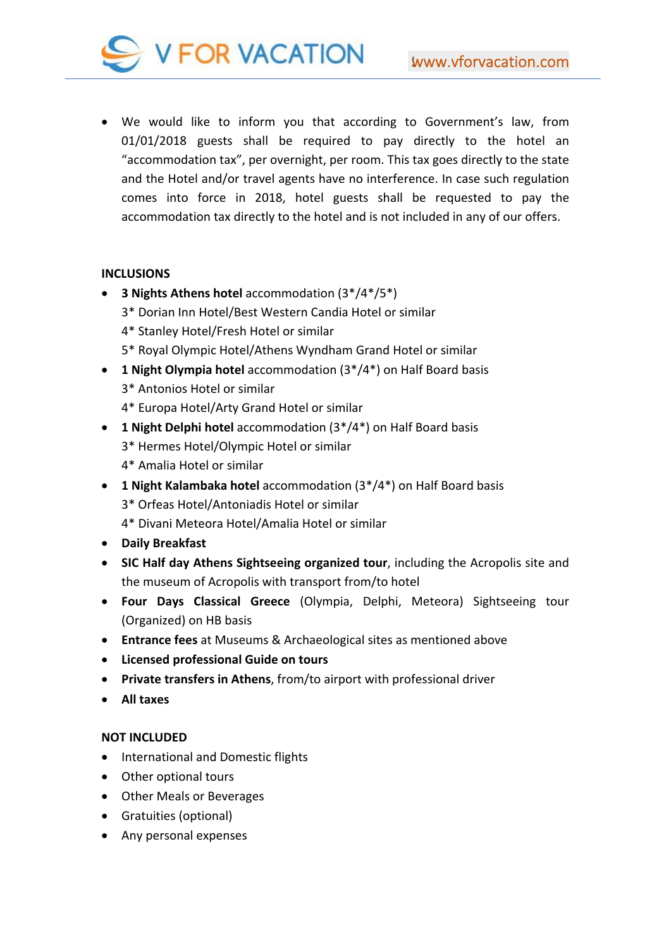

 We would like to inform you that according to Government's law, from 01/01/2018 guests shall be required to pay directly to the hotel an "accommodation tax", per overnight, per room. This tax goes directly to the state and the Hotel and/or travel agents have no interference. In case such regulation comes into force in 2018, hotel guests shall be requested to pay the accommodation tax directly to the hotel and is not included in any of our offers.

## **INCLUSIONS**

- **3 Nights Athens hotel** accommodation (3\*/4\*/5\*)
	- 3\* Dorian Inn Hotel/Best Western Candia Hotel or similar
	- 4\* Stanley Hotel/Fresh Hotel or similar
	- 5\* Royal Olympic Hotel/Athens Wyndham Grand Hotel or similar
- **1 Night Olympia hotel** accommodation (3\*/4\*) on Half Board basis 3\* Antonios Hotel or similar
	- 4\* Europa Hotel/Arty Grand Hotel or similar
- **1 Night Delphi hotel** accommodation (3\*/4\*) on Half Board basis
	- 3\* Hermes Hotel/Olympic Hotel or similar
	- 4\* Amalia Hotel or similar
- **1 Night Kalambaka hotel** accommodation (3\*/4\*) on Half Board basis 3\* Orfeas Hotel/Antoniadis Hotel or similar 4\* Divani Meteora Hotel/Amalia Hotel or similar
- **Daily Breakfast**
- **SIC Half day Athens Sightseeing organized tour**, including the Acropolis site and the museum of Acropolis with transport from/to hotel
- **Four Days Classical Greece** (Olympia, Delphi, Meteora) Sightseeing tour (Organized) on HB basis
- **Entrance fees** at Museums & Archaeological sites as mentioned above
- **Licensed professional Guide on tours**
- **Private transfers in Athens**, from/to airport with professional driver
- **All taxes**

## **NOT INCLUDED**

- International and Domestic flights
- Other optional tours
- Other Meals or Beverages
- Gratuities (optional)
- Any personal expenses